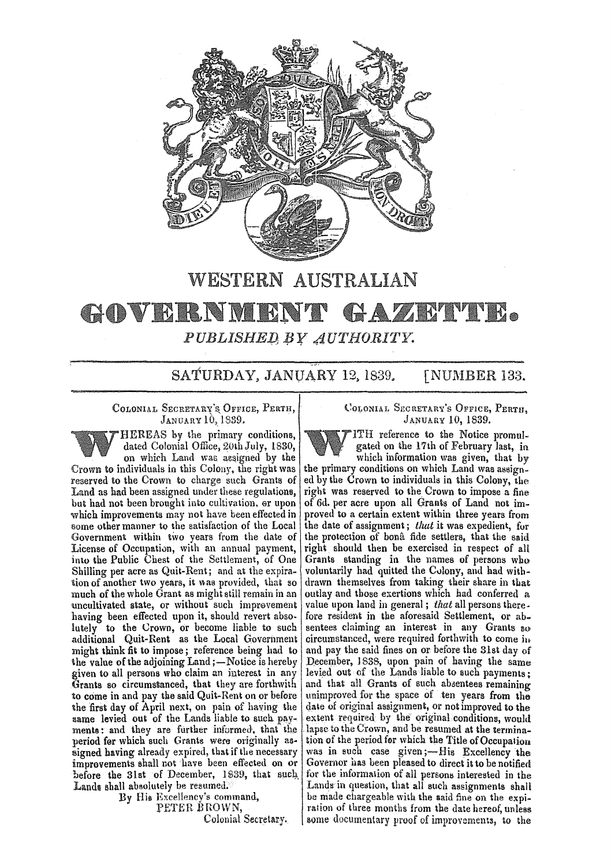

## WESTERN AUSTRALIAN

## $\bullet$ GOVERNIE  $\mathscr{D}_A$ ЦC  $PUBLISHED$  BY  $AUTHORITY$ .

SATURDAY, JANUARY 12, 1839. [NUMBER 133.

COLONIAL SECRETARY'S OFFICE, PERTH, JANUARY 10, 1839.

HEREAS by the primary conditions, dated Colonial Office, 20th July, 1830, on which Land was assigned by the Crown to individuals in this Colony, the right was reserved to the Crown to charge such Grants of Land as bad been assigned under these regulations, but had not been brought into cultivation. er upon which improvements may not have been effected in some other manner to the satisfaction of the Local Government within two years from the date of License of Occupation, with an annual payment, into the Public Chest of the Settlement, of One Shilling per acre as Quit-Rent; and at the expiration of another two years, it was provided, that so much of the whole Grant as might still remain in an uncultivated state, or without such imprevement having been effected upon it, should revert absolutely to the Crown, or become liable to such additional Quit-Rent as the Local Government might think fit to impose; reference being had to the value of the adjoining Land ;- Notice is hereby given to all persons who claim an interest in any Grants so circumsianced, that they are forthwith to come in and pay the said Quit-Rent on or before the first day of April next, on pain of having the same levied out of the Lands liable to such payments: and they are further informed, that the period fer which such Grants were originally assigned having already expired, that if the necessary improvements shall not have been effected on or before the 31st of December, 1839, that such Lands shall absolutely be resumed.

By His Excellency's command, PETER BROWN, Colonial Secretary. COLONIAL SECRETARY'S OFFICE, PERTH. JANUARY 10, 1839.

ITH reference to the Notice promulgated on the 17th of February last, in which information was given. that by the primary conditions on which Land was assigned by the Crown to individuals in this Colony, the right was reserved to the Crown to impose a fine of 6d. per acre upon all Grants of Land no& improved to a certain extent within three years from the date of assignment; that it was expedient, for the protection of bona fide settlers, that the said right should then be exercised in respect of all Grants standing in the names of persons who voluntarily had quitted the Colony, and had withdrawn themselves from taking their share in that outlay and those exertions which had conferred a value upon land in general; that all persons therefore resident in the aforesaid Settlement, or ab. sentees claiming an interest in any Grants so circumstanced, were required forthwith to come in and pay the said fines on or before the 31st day of December, 1838, upon pain of having the same levied out of the Lands liable to such payments; and that all Grants of such absentees remaining unimproved for the space of ten years from the date of original assignment, or not improved to the extent required by the original conditions, would lapse to the Crown, and be resumed at the termination of the period for which the Title of Occupation was in such case given;-His Excellency the Governor has been pleased to direct it to be notified for the information of all persons interested in the Lands in question, that all such assignments shall be made chargeable Wiih the aaid fine on the expiration of three months from the date hereof, unless some documentary proof of improvements, to the